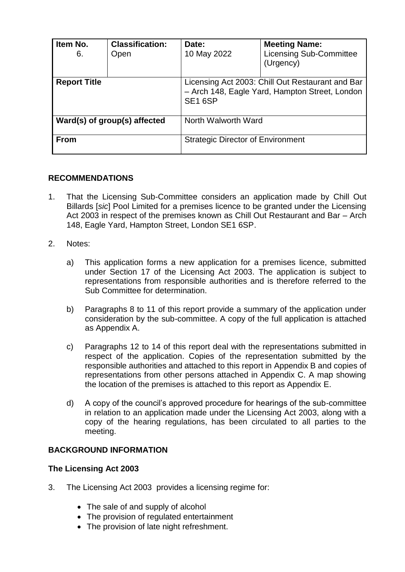| Item No.<br>6.               | <b>Classification:</b><br>Open | Date:<br>10 May 2022                                                                                                      | <b>Meeting Name:</b><br><b>Licensing Sub-Committee</b><br>(Urgency) |
|------------------------------|--------------------------------|---------------------------------------------------------------------------------------------------------------------------|---------------------------------------------------------------------|
| <b>Report Title</b>          |                                | Licensing Act 2003: Chill Out Restaurant and Bar<br>- Arch 148, Eagle Yard, Hampton Street, London<br>SE <sub>16</sub> SP |                                                                     |
| Ward(s) of group(s) affected |                                | North Walworth Ward                                                                                                       |                                                                     |
| <b>From</b>                  |                                | <b>Strategic Director of Environment</b>                                                                                  |                                                                     |

### **RECOMMENDATIONS**

- 1. That the Licensing Sub-Committee considers an application made by Chill Out Billards [*sic*] Pool Limited for a premises licence to be granted under the Licensing Act 2003 in respect of the premises known as Chill Out Restaurant and Bar – Arch 148, Eagle Yard, Hampton Street, London SE1 6SP.
- 2. Notes:
	- a) This application forms a new application for a premises licence, submitted under Section 17 of the Licensing Act 2003. The application is subject to representations from responsible authorities and is therefore referred to the Sub Committee for determination.
	- b) Paragraphs 8 to 11 of this report provide a summary of the application under consideration by the sub-committee. A copy of the full application is attached as Appendix A.
	- c) Paragraphs 12 to 14 of this report deal with the representations submitted in respect of the application. Copies of the representation submitted by the responsible authorities and attached to this report in Appendix B and copies of representations from other persons attached in Appendix C. A map showing the location of the premises is attached to this report as Appendix E.
	- d) A copy of the council's approved procedure for hearings of the sub-committee in relation to an application made under the Licensing Act 2003, along with a copy of the hearing regulations, has been circulated to all parties to the meeting.

### **BACKGROUND INFORMATION**

#### **The Licensing Act 2003**

- 3. The Licensing Act 2003 provides a licensing regime for:
	- The sale of and supply of alcohol
	- The provision of regulated entertainment
	- The provision of late night refreshment.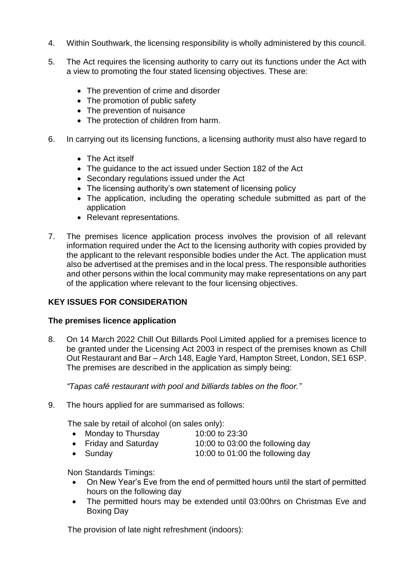- 4. Within Southwark, the licensing responsibility is wholly administered by this council.
- 5. The Act requires the licensing authority to carry out its functions under the Act with a view to promoting the four stated licensing objectives. These are:
	- The prevention of crime and disorder
	- The promotion of public safety
	- The prevention of nuisance
	- The protection of children from harm.
- 6. In carrying out its licensing functions, a licensing authority must also have regard to
	- The Act itself
	- The quidance to the act issued under Section 182 of the Act
	- Secondary regulations issued under the Act
	- The licensing authority's own statement of licensing policy
	- The application, including the operating schedule submitted as part of the application
	- Relevant representations.
- 7. The premises licence application process involves the provision of all relevant information required under the Act to the licensing authority with copies provided by the applicant to the relevant responsible bodies under the Act. The application must also be advertised at the premises and in the local press. The responsible authorities and other persons within the local community may make representations on any part of the application where relevant to the four licensing objectives.

### **KEY ISSUES FOR CONSIDERATION**

#### **The premises licence application**

8. On 14 March 2022 Chill Out Billards Pool Limited applied for a premises licence to be granted under the Licensing Act 2003 in respect of the premises known as Chill Out Restaurant and Bar – Arch 148, Eagle Yard, Hampton Street, London, SE1 6SP. The premises are described in the application as simply being:

*"Tapas café restaurant with pool and billiards tables on the floor."*

9. The hours applied for are summarised as follows:

The sale by retail of alcohol (on sales only):

- Monday to Thursday 10:00 to 23:30
- Friday and Saturday 10:00 to 03:00 the following day
- Sunday 10:00 to 01:00 the following day

Non Standards Timings:

- On New Year's Eve from the end of permitted hours until the start of permitted hours on the following day
- The permitted hours may be extended until 03:00hrs on Christmas Eve and Boxing Day

The provision of late night refreshment (indoors):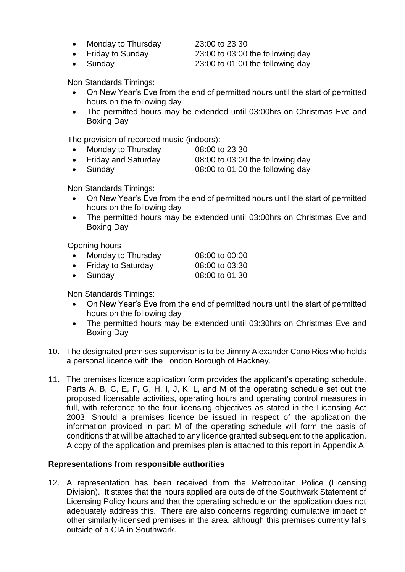• Monday to Thursday 23:00 to 23:30

• Friday to Sunday 23:00 to 03:00 the following day

Sunday 23:00 to 01:00 the following day

Non Standards Timings:

- On New Year's Eve from the end of permitted hours until the start of permitted hours on the following day
- The permitted hours may be extended until 03:00hrs on Christmas Eve and Boxing Day

The provision of recorded music (indoors):

- Monday to Thursday 08:00 to 23:30
- Friday and Saturday 08:00 to 03:00 the following day
- Sunday 08:00 to 01:00 the following day

Non Standards Timings:

- On New Year's Eve from the end of permitted hours until the start of permitted hours on the following day
- The permitted hours may be extended until 03:00hrs on Christmas Eve and Boxing Day

Opening hours

- Monday to Thursday 08:00 to 00:00
- Friday to Saturday 08:00 to 03:30
- Sunday 08:00 to 01:30

Non Standards Timings:

- On New Year's Eve from the end of permitted hours until the start of permitted hours on the following day
- The permitted hours may be extended until 03:30hrs on Christmas Eve and Boxing Day
- 10. The designated premises supervisor is to be Jimmy Alexander Cano Rios who holds a personal licence with the London Borough of Hackney.
- 11. The premises licence application form provides the applicant's operating schedule. Parts A, B, C, E, F, G, H, I, J, K, L, and M of the operating schedule set out the proposed licensable activities, operating hours and operating control measures in full, with reference to the four licensing objectives as stated in the Licensing Act 2003. Should a premises licence be issued in respect of the application the information provided in part M of the operating schedule will form the basis of conditions that will be attached to any licence granted subsequent to the application. A copy of the application and premises plan is attached to this report in Appendix A.

#### **Representations from responsible authorities**

12. A representation has been received from the Metropolitan Police (Licensing Division). It states that the hours applied are outside of the Southwark Statement of Licensing Policy hours and that the operating schedule on the application does not adequately address this. There are also concerns regarding cumulative impact of other similarly-licensed premises in the area, although this premises currently falls outside of a CIA in Southwark.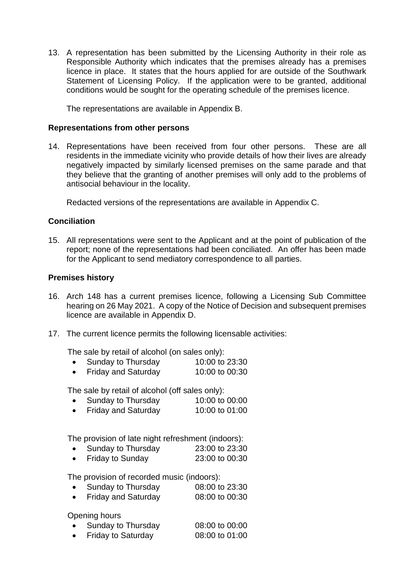13. A representation has been submitted by the Licensing Authority in their role as Responsible Authority which indicates that the premises already has a premises licence in place. It states that the hours applied for are outside of the Southwark Statement of Licensing Policy. If the application were to be granted, additional conditions would be sought for the operating schedule of the premises licence.

The representations are available in Appendix B.

#### **Representations from other persons**

14. Representations have been received from four other persons. These are all residents in the immediate vicinity who provide details of how their lives are already negatively impacted by similarly licensed premises on the same parade and that they believe that the granting of another premises will only add to the problems of antisocial behaviour in the locality.

Redacted versions of the representations are available in Appendix C.

#### **Conciliation**

15. All representations were sent to the Applicant and at the point of publication of the report; none of the representations had been conciliated. An offer has been made for the Applicant to send mediatory correspondence to all parties.

#### **Premises history**

- 16. Arch 148 has a current premises licence, following a Licensing Sub Committee hearing on 26 May 2021. A copy of the Notice of Decision and subsequent premises licence are available in Appendix D.
- 17. The current licence permits the following licensable activities:

The sale by retail of alcohol (on sales only):

| Sunday to Thursday | 10:00 to 23:30 |
|--------------------|----------------|
|                    |                |

Friday and Saturday 10:00 to 00:30

The sale by retail of alcohol (off sales only):

- Sunday to Thursday 10:00 to 00:00<br>• Friday and Saturday 10:00 to 01:00
- Friday and Saturday

The provision of late night refreshment (indoors):

- Sunday to Thursday 23:00 to 23:30
- Friday to Sunday 23:00 to 00:30

The provision of recorded music (indoors):

- Sunday to Thursday 08:00 to 23:30
- Friday and Saturday 08:00 to 00:30

#### Opening hours

- Sunday to Thursday 08:00 to 00:00
- Friday to Saturday 08:00 to 01:00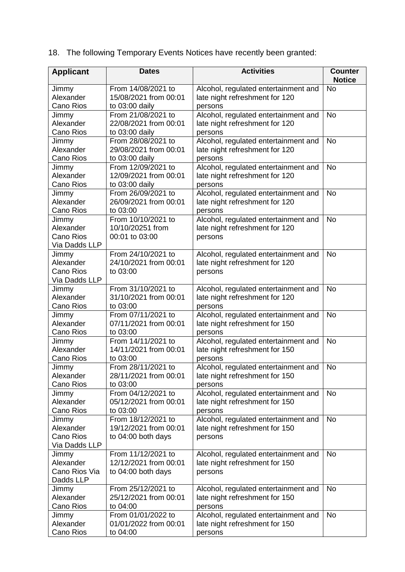18. The following Temporary Events Notices have recently been granted:

| <b>Applicant</b>              | <b>Dates</b>                                | <b>Activities</b>                    | <b>Counter</b><br><b>Notice</b> |
|-------------------------------|---------------------------------------------|--------------------------------------|---------------------------------|
|                               | From 14/08/2021 to                          |                                      | <b>No</b>                       |
| Jimmy<br>Alexander            | 15/08/2021 from 00:01                       | Alcohol, regulated entertainment and |                                 |
| <b>Cano Rios</b>              |                                             | late night refreshment for 120       |                                 |
|                               | to 03:00 daily                              | persons                              | <b>No</b>                       |
| Jimmy<br>Alexander            | From 21/08/2021 to                          | Alcohol, regulated entertainment and |                                 |
|                               | 22/08/2021 from 00:01                       | late night refreshment for 120       |                                 |
| Cano Rios                     | to 03:00 daily                              | persons                              | <b>No</b>                       |
| Jimmy                         | From 28/08/2021 to<br>29/08/2021 from 00:01 | Alcohol, regulated entertainment and |                                 |
| Alexander<br><b>Cano Rios</b> |                                             | late night refreshment for 120       |                                 |
|                               | to 03:00 daily<br>From 12/09/2021 to        | persons                              | <b>No</b>                       |
| Jimmy<br>Alexander            |                                             | Alcohol, regulated entertainment and |                                 |
|                               | 12/09/2021 from 00:01                       | late night refreshment for 120       |                                 |
| Cano Rios                     | to 03:00 daily                              | persons                              |                                 |
| Jimmy                         | From 26/09/2021 to                          | Alcohol, regulated entertainment and | <b>No</b>                       |
| Alexander                     | 26/09/2021 from 00:01                       | late night refreshment for 120       |                                 |
| Cano Rios                     | to 03:00                                    | persons                              |                                 |
| Jimmy                         | From 10/10/2021 to                          | Alcohol, regulated entertainment and | <b>No</b>                       |
| Alexander                     | 10/10/20251 from                            | late night refreshment for 120       |                                 |
| <b>Cano Rios</b>              | 00:01 to 03:00                              | persons                              |                                 |
| Via Dadds LLP                 |                                             |                                      |                                 |
| Jimmy                         | From 24/10/2021 to                          | Alcohol, regulated entertainment and | <b>No</b>                       |
| Alexander                     | 24/10/2021 from 00:01                       | late night refreshment for 120       |                                 |
| <b>Cano Rios</b>              | to 03:00                                    | persons                              |                                 |
| Via Dadds LLP                 |                                             |                                      |                                 |
| Jimmy                         | From 31/10/2021 to                          | Alcohol, regulated entertainment and | <b>No</b>                       |
| Alexander                     | 31/10/2021 from 00:01                       | late night refreshment for 120       |                                 |
| Cano Rios                     | to 03:00                                    | persons                              |                                 |
| Jimmy                         | From 07/11/2021 to                          | Alcohol, regulated entertainment and | <b>No</b>                       |
| Alexander                     | 07/11/2021 from 00:01                       | late night refreshment for 150       |                                 |
| Cano Rios                     | to 03:00                                    | persons                              |                                 |
| Jimmy                         | From 14/11/2021 to                          | Alcohol, regulated entertainment and | <b>No</b>                       |
| Alexander                     | 14/11/2021 from 00:01                       | late night refreshment for 150       |                                 |
| Cano Rios                     | to 03:00                                    | persons                              |                                 |
| Jimmy                         | From 28/11/2021 to                          | Alcohol, regulated entertainment and | No                              |
| Alexander                     | 28/11/2021 from 00:01                       | late night refreshment for 150       |                                 |
| Cano Rios                     | to 03:00                                    | persons                              |                                 |
| Jimmy                         | From 04/12/2021 to                          | Alcohol, regulated entertainment and | <b>No</b>                       |
| Alexander                     | 05/12/2021 from 00:01                       | late night refreshment for 150       |                                 |
| Cano Rios                     | to 03:00                                    | persons                              |                                 |
| Jimmy                         | From 18/12/2021 to                          | Alcohol, regulated entertainment and | <b>No</b>                       |
| Alexander                     | 19/12/2021 from 00:01                       | late night refreshment for 150       |                                 |
| Cano Rios                     | to 04:00 both days                          | persons                              |                                 |
| Via Dadds LLP                 |                                             |                                      |                                 |
| Jimmy                         | From 11/12/2021 to                          | Alcohol, regulated entertainment and | <b>No</b>                       |
| Alexander                     | 12/12/2021 from 00:01                       | late night refreshment for 150       |                                 |
| Cano Rios Via                 | to 04:00 both days                          | persons                              |                                 |
| Dadds LLP                     |                                             |                                      |                                 |
| Jimmy                         | From 25/12/2021 to                          | Alcohol, regulated entertainment and | <b>No</b>                       |
| Alexander                     | 25/12/2021 from 00:01                       | late night refreshment for 150       |                                 |
| Cano Rios                     | to 04:00                                    | persons                              |                                 |
| Jimmy                         | From 01/01/2022 to                          | Alcohol, regulated entertainment and | <b>No</b>                       |
| Alexander                     | 01/01/2022 from 00:01                       | late night refreshment for 150       |                                 |
| Cano Rios                     | to 04:00                                    | persons                              |                                 |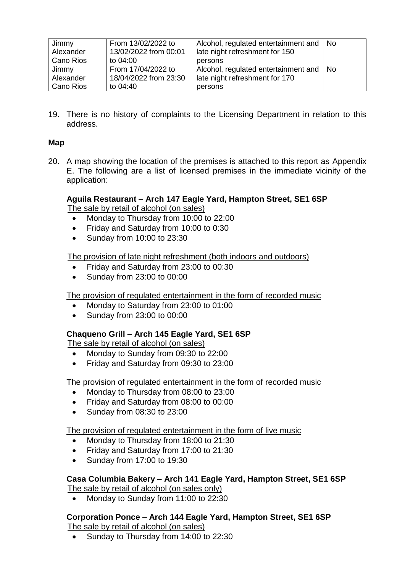| Jimmy<br>Alexander | From 13/02/2022 to<br>13/02/2022 from 00:01 | Alcohol, regulated entertainment and   No<br>late night refreshment for 150 |  |
|--------------------|---------------------------------------------|-----------------------------------------------------------------------------|--|
| Cano Rios          | to 04:00                                    | persons                                                                     |  |
| Jimmy              | From 17/04/2022 to                          | Alcohol, regulated entertainment and   No                                   |  |
| Alexander          | 18/04/2022 from 23:30                       | late night refreshment for 170                                              |  |
| Cano Rios          | to 04:40                                    | persons                                                                     |  |

19. There is no history of complaints to the Licensing Department in relation to this address.

### **Map**

20. A map showing the location of the premises is attached to this report as Appendix E. The following are a list of licensed premises in the immediate vicinity of the application:

#### **Aguila Restaurant – Arch 147 Eagle Yard, Hampton Street, SE1 6SP** The sale by retail of alcohol (on sales)

- Monday to Thursday from 10:00 to 22:00
- Friday and Saturday from 10:00 to 0:30
- Sunday from 10:00 to 23:30

#### The provision of late night refreshment (both indoors and outdoors)

- Friday and Saturday from 23:00 to 00:30
- Sunday from 23:00 to 00:00

#### The provision of regulated entertainment in the form of recorded music

- Monday to Saturday from 23:00 to 01:00
- Sunday from 23:00 to 00:00

#### **Chaqueno Grill – Arch 145 Eagle Yard, SE1 6SP**

The sale by retail of alcohol (on sales)

- Monday to Sunday from 09:30 to 22:00
- Friday and Saturday from 09:30 to 23:00

#### The provision of regulated entertainment in the form of recorded music

- Monday to Thursday from 08:00 to 23:00
- Friday and Saturday from 08:00 to 00:00
- Sunday from 08:30 to 23:00

#### The provision of regulated entertainment in the form of live music

- Monday to Thursday from 18:00 to 21:30
- Friday and Saturday from 17:00 to 21:30
- Sunday from 17:00 to 19:30

### **Casa Columbia Bakery – Arch 141 Eagle Yard, Hampton Street, SE1 6SP**

The sale by retail of alcohol (on sales only)

• Monday to Sunday from 11:00 to 22:30

# **Corporation Ponce – Arch 144 Eagle Yard, Hampton Street, SE1 6SP**

The sale by retail of alcohol (on sales)

• Sunday to Thursday from 14:00 to 22:30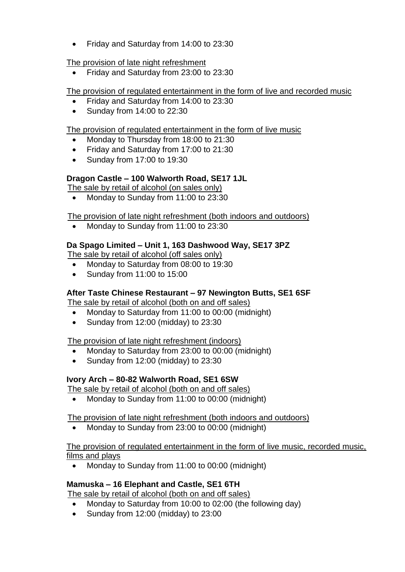• Friday and Saturday from 14:00 to 23:30

### The provision of late night refreshment

Friday and Saturday from 23:00 to 23:30

### The provision of regulated entertainment in the form of live and recorded music

- Friday and Saturday from 14:00 to 23:30
- Sunday from 14:00 to 22:30

#### The provision of regulated entertainment in the form of live music

- Monday to Thursday from 18:00 to 21:30
- Friday and Saturday from 17:00 to 21:30
- Sunday from 17:00 to 19:30

### **Dragon Castle – 100 Walworth Road, SE17 1JL**

The sale by retail of alcohol (on sales only)

Monday to Sunday from 11:00 to 23:30

The provision of late night refreshment (both indoors and outdoors)

Monday to Sunday from 11:00 to 23:30

### **Da Spago Limited – Unit 1, 163 Dashwood Way, SE17 3PZ**

The sale by retail of alcohol (off sales only)

- Monday to Saturday from 08:00 to 19:30
- Sunday from 11:00 to 15:00

### **After Taste Chinese Restaurant – 97 Newington Butts, SE1 6SF**

The sale by retail of alcohol (both on and off sales)

- Monday to Saturday from 11:00 to 00:00 (midnight)
- Sunday from 12:00 (midday) to 23:30

#### The provision of late night refreshment (indoors)

- Monday to Saturday from 23:00 to 00:00 (midnight)
- Sunday from 12:00 (midday) to 23:30

### **Ivory Arch – 80-82 Walworth Road, SE1 6SW**

The sale by retail of alcohol (both on and off sales)

• Monday to Sunday from 11:00 to 00:00 (midnight)

#### The provision of late night refreshment (both indoors and outdoors)

Monday to Sunday from 23:00 to 00:00 (midnight)

#### The provision of regulated entertainment in the form of live music, recorded music, films and plays

Monday to Sunday from 11:00 to 00:00 (midnight)

### **Mamuska – 16 Elephant and Castle, SE1 6TH**

The sale by retail of alcohol (both on and off sales)

- Monday to Saturday from 10:00 to 02:00 (the following day)
- Sunday from 12:00 (midday) to 23:00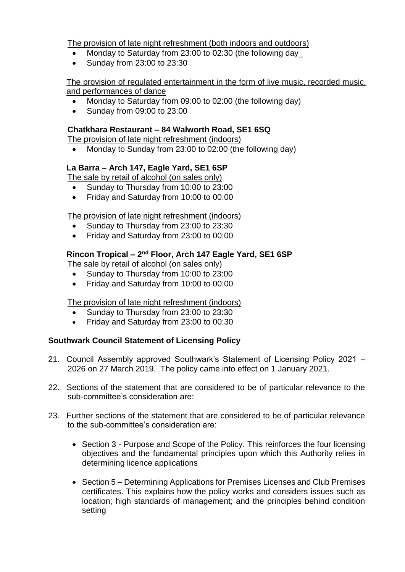The provision of late night refreshment (both indoors and outdoors)

- Monday to Saturday from 23:00 to 02:30 (the following day\_
- Sunday from 23:00 to 23:30

#### The provision of regulated entertainment in the form of live music, recorded music, and performances of dance

- Monday to Saturday from 09:00 to 02:00 (the following day)
- Sunday from 09:00 to 23:00

### **Chatkhara Restaurant – 84 Walworth Road, SE1 6SQ**

The provision of late night refreshment (indoors)

• Monday to Sunday from 23:00 to 02:00 (the following day)

### **La Barra – Arch 147, Eagle Yard, SE1 6SP**

The sale by retail of alcohol (on sales only)

- Sunday to Thursday from 10:00 to 23:00
- Friday and Saturday from 10:00 to 00:00

The provision of late night refreshment (indoors)

- Sunday to Thursday from 23:00 to 23:30
- Friday and Saturday from 23:00 to 00:00

### **Rincon Tropical – 2 nd Floor, Arch 147 Eagle Yard, SE1 6SP**

The sale by retail of alcohol (on sales only)

- Sunday to Thursday from 10:00 to 23:00
- Friday and Saturday from 10:00 to 00:00

The provision of late night refreshment (indoors)

- Sunday to Thursday from 23:00 to 23:30
- Friday and Saturday from 23:00 to 00:30

### **Southwark Council Statement of Licensing Policy**

- 21. Council Assembly approved Southwark's Statement of Licensing Policy 2021 2026 on 27 March 2019. The policy came into effect on 1 January 2021.
- 22. Sections of the statement that are considered to be of particular relevance to the sub-committee's consideration are:
- 23. Further sections of the statement that are considered to be of particular relevance to the sub-committee's consideration are:
	- Section 3 Purpose and Scope of the Policy. This reinforces the four licensing objectives and the fundamental principles upon which this Authority relies in determining licence applications
	- Section 5 Determining Applications for Premises Licenses and Club Premises certificates. This explains how the policy works and considers issues such as location; high standards of management; and the principles behind condition setting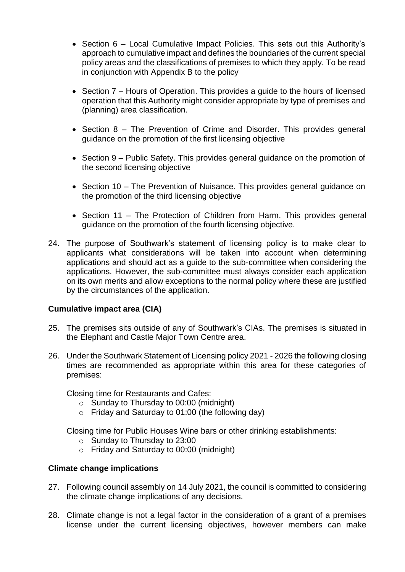- Section 6 Local Cumulative Impact Policies. This sets out this Authority's approach to cumulative impact and defines the boundaries of the current special policy areas and the classifications of premises to which they apply. To be read in conjunction with Appendix B to the policy
- $\bullet$  Section 7 Hours of Operation. This provides a guide to the hours of licensed operation that this Authority might consider appropriate by type of premises and (planning) area classification.
- Section 8 The Prevention of Crime and Disorder. This provides general guidance on the promotion of the first licensing objective
- Section 9 Public Safety. This provides general guidance on the promotion of the second licensing objective
- Section 10 The Prevention of Nuisance. This provides general guidance on the promotion of the third licensing objective
- Section 11 The Protection of Children from Harm. This provides general guidance on the promotion of the fourth licensing objective.
- 24. The purpose of Southwark's statement of licensing policy is to make clear to applicants what considerations will be taken into account when determining applications and should act as a guide to the sub-committee when considering the applications. However, the sub-committee must always consider each application on its own merits and allow exceptions to the normal policy where these are justified by the circumstances of the application.

### **Cumulative impact area (CIA)**

- 25. The premises sits outside of any of Southwark's CIAs. The premises is situated in the Elephant and Castle Major Town Centre area.
- 26. Under the Southwark Statement of Licensing policy 2021 2026 the following closing times are recommended as appropriate within this area for these categories of premises:

Closing time for Restaurants and Cafes:

- $\circ$  Sunday to Thursday to 00:00 (midnight)
- $\circ$  Friday and Saturday to 01:00 (the following day)

Closing time for Public Houses Wine bars or other drinking establishments:

- o Sunday to Thursday to 23:00
- o Friday and Saturday to 00:00 (midnight)

### **Climate change implications**

- 27. Following council assembly on 14 July 2021, the council is committed to considering the climate change implications of any decisions.
- 28. Climate change is not a legal factor in the consideration of a grant of a premises license under the current licensing objectives, however members can make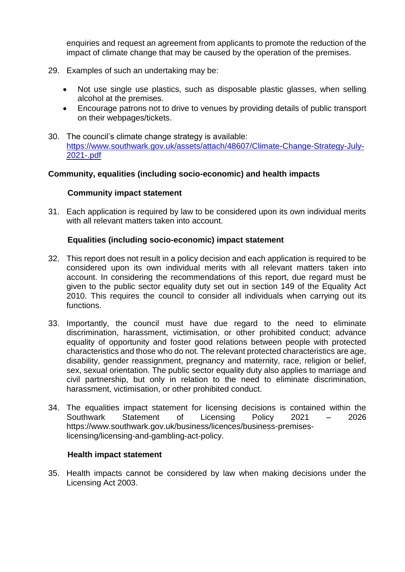enquiries and request an agreement from applicants to promote the reduction of the impact of climate change that may be caused by the operation of the premises.

- 29. Examples of such an undertaking may be:
	- Not use single use plastics, such as disposable plastic glasses, when selling alcohol at the premises.
	- Encourage patrons not to drive to venues by providing details of public transport on their webpages/tickets.
- 30. The council's climate change strategy is available: [https://www.southwark.gov.uk/assets/attach/48607/Climate-Change-Strategy-July-](https://www.southwark.gov.uk/assets/attach/48607/Climate-Change-Strategy-July-2021-.pdf)[2021-.pdf](https://www.southwark.gov.uk/assets/attach/48607/Climate-Change-Strategy-July-2021-.pdf)

### **Community, equalities (including socio-economic) and health impacts**

### **Community impact statement**

31. Each application is required by law to be considered upon its own individual merits with all relevant matters taken into account.

### **Equalities (including socio-economic) impact statement**

- 32. This report does not result in a policy decision and each application is required to be considered upon its own individual merits with all relevant matters taken into account. In considering the recommendations of this report, due regard must be given to the public sector equality duty set out in section 149 of the Equality Act 2010. This requires the council to consider all individuals when carrying out its functions.
- 33. Importantly, the council must have due regard to the need to eliminate discrimination, harassment, victimisation, or other prohibited conduct; advance equality of opportunity and foster good relations between people with protected characteristics and those who do not. The relevant protected characteristics are age, disability, gender reassignment, pregnancy and maternity, race, religion or belief, sex, sexual orientation. The public sector equality duty also applies to marriage and civil partnership, but only in relation to the need to eliminate discrimination, harassment, victimisation, or other prohibited conduct.
- 34. The equalities impact statement for licensing decisions is contained within the Southwark Statement of Licensing Policy 2021 – 2026 [https://www.southwark.gov.uk/business/licences/business-premises](https://www.southwark.gov.uk/business/licences/business-premises-licensing/licensing-and-gambling-act-policy)[licensing/licensing-and-gambling-act-policy.](https://www.southwark.gov.uk/business/licences/business-premises-licensing/licensing-and-gambling-act-policy)

#### **Health impact statement**

35. Health impacts cannot be considered by law when making decisions under the Licensing Act 2003.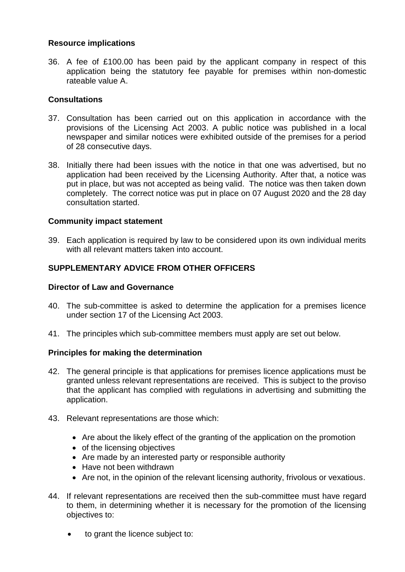### **Resource implications**

36. A fee of £100.00 has been paid by the applicant company in respect of this application being the statutory fee payable for premises within non-domestic rateable value A.

### **Consultations**

- 37. Consultation has been carried out on this application in accordance with the provisions of the Licensing Act 2003. A public notice was published in a local newspaper and similar notices were exhibited outside of the premises for a period of 28 consecutive days.
- 38. Initially there had been issues with the notice in that one was advertised, but no application had been received by the Licensing Authority. After that, a notice was put in place, but was not accepted as being valid. The notice was then taken down completely. The correct notice was put in place on 07 August 2020 and the 28 day consultation started.

#### **Community impact statement**

39. Each application is required by law to be considered upon its own individual merits with all relevant matters taken into account.

### **SUPPLEMENTARY ADVICE FROM OTHER OFFICERS**

#### **Director of Law and Governance**

- 40. The sub-committee is asked to determine the application for a premises licence under section 17 of the Licensing Act 2003.
- 41. The principles which sub-committee members must apply are set out below.

#### **Principles for making the determination**

- 42. The general principle is that applications for premises licence applications must be granted unless relevant representations are received. This is subject to the proviso that the applicant has complied with regulations in advertising and submitting the application.
- 43. Relevant representations are those which:
	- Are about the likely effect of the granting of the application on the promotion
	- of the licensing objectives
	- Are made by an interested party or responsible authority
	- Have not been withdrawn
	- Are not, in the opinion of the relevant licensing authority, frivolous or vexatious.
- 44. If relevant representations are received then the sub-committee must have regard to them, in determining whether it is necessary for the promotion of the licensing objectives to:
	- to grant the licence subject to: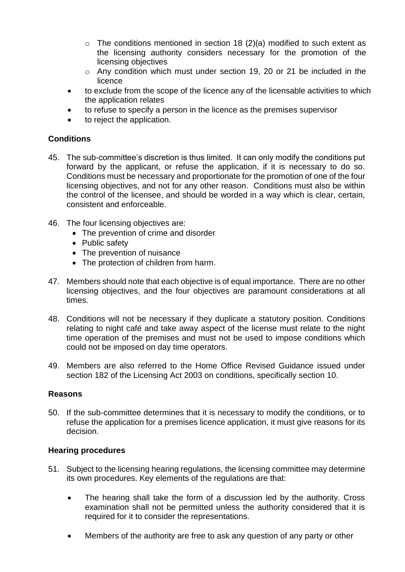- $\circ$  The conditions mentioned in section 18 (2)(a) modified to such extent as the licensing authority considers necessary for the promotion of the licensing objectives
- o Any condition which must under section 19, 20 or 21 be included in the licence
- to exclude from the scope of the licence any of the licensable activities to which the application relates
- to refuse to specify a person in the licence as the premises supervisor
- to reject the application.

### **Conditions**

- 45. The sub-committee's discretion is thus limited. It can only modify the conditions put forward by the applicant, or refuse the application, if it is necessary to do so. Conditions must be necessary and proportionate for the promotion of one of the four licensing objectives, and not for any other reason. Conditions must also be within the control of the licensee, and should be worded in a way which is clear, certain, consistent and enforceable.
- 46. The four licensing objectives are:
	- The prevention of crime and disorder
	- Public safety
	- The prevention of nuisance
	- The protection of children from harm.
- 47. Members should note that each objective is of equal importance. There are no other licensing objectives, and the four objectives are paramount considerations at all times.
- 48. Conditions will not be necessary if they duplicate a statutory position. Conditions relating to night café and take away aspect of the license must relate to the night time operation of the premises and must not be used to impose conditions which could not be imposed on day time operators.
- 49. Members are also referred to the Home Office Revised Guidance issued under section 182 of the Licensing Act 2003 on conditions, specifically section 10.

### **Reasons**

50. If the sub-committee determines that it is necessary to modify the conditions, or to refuse the application for a premises licence application, it must give reasons for its decision.

#### **Hearing procedures**

- 51. Subject to the licensing hearing regulations, the licensing committee may determine its own procedures. Key elements of the regulations are that:
	- The hearing shall take the form of a discussion led by the authority. Cross examination shall not be permitted unless the authority considered that it is required for it to consider the representations.
	- Members of the authority are free to ask any question of any party or other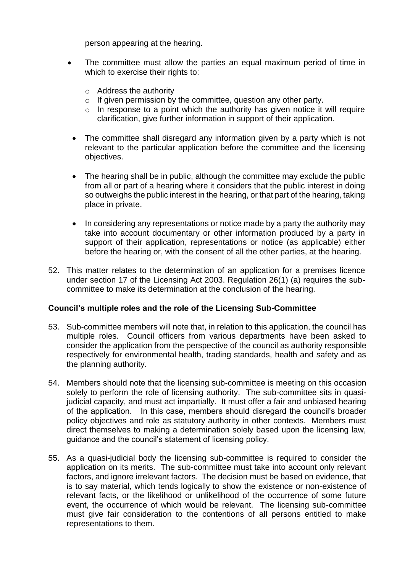person appearing at the hearing.

- The committee must allow the parties an equal maximum period of time in which to exercise their rights to:
	- o Address the authority
	- $\circ$  If given permission by the committee, question any other party.
	- $\circ$  In response to a point which the authority has given notice it will require clarification, give further information in support of their application.
- The committee shall disregard any information given by a party which is not relevant to the particular application before the committee and the licensing objectives.
- The hearing shall be in public, although the committee may exclude the public from all or part of a hearing where it considers that the public interest in doing so outweighs the public interest in the hearing, or that part of the hearing, taking place in private.
- In considering any representations or notice made by a party the authority may take into account documentary or other information produced by a party in support of their application, representations or notice (as applicable) either before the hearing or, with the consent of all the other parties, at the hearing.
- 52. This matter relates to the determination of an application for a premises licence under section 17 of the Licensing Act 2003. Regulation 26(1) (a) requires the subcommittee to make its determination at the conclusion of the hearing.

#### **Council's multiple roles and the role of the Licensing Sub-Committee**

- 53. Sub-committee members will note that, in relation to this application, the council has multiple roles. Council officers from various departments have been asked to consider the application from the perspective of the council as authority responsible respectively for environmental health, trading standards, health and safety and as the planning authority.
- 54. Members should note that the licensing sub-committee is meeting on this occasion solely to perform the role of licensing authority. The sub-committee sits in quasijudicial capacity, and must act impartially. It must offer a fair and unbiased hearing of the application. In this case, members should disregard the council's broader policy objectives and role as statutory authority in other contexts. Members must direct themselves to making a determination solely based upon the licensing law, guidance and the council's statement of licensing policy.
- 55. As a quasi-judicial body the licensing sub-committee is required to consider the application on its merits. The sub-committee must take into account only relevant factors, and ignore irrelevant factors. The decision must be based on evidence, that is to say material, which tends logically to show the existence or non-existence of relevant facts, or the likelihood or unlikelihood of the occurrence of some future event, the occurrence of which would be relevant. The licensing sub-committee must give fair consideration to the contentions of all persons entitled to make representations to them.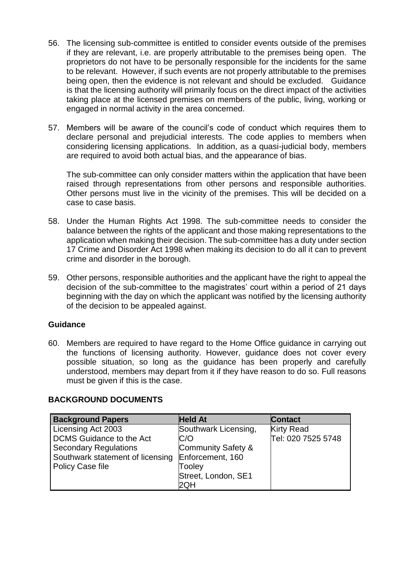- 56. The licensing sub-committee is entitled to consider events outside of the premises if they are relevant, i.e. are properly attributable to the premises being open. The proprietors do not have to be personally responsible for the incidents for the same to be relevant. However, if such events are not properly attributable to the premises being open, then the evidence is not relevant and should be excluded. Guidance is that the licensing authority will primarily focus on the direct impact of the activities taking place at the licensed premises on members of the public, living, working or engaged in normal activity in the area concerned.
- 57. Members will be aware of the council's code of conduct which requires them to declare personal and prejudicial interests. The code applies to members when considering licensing applications. In addition, as a quasi-judicial body, members are required to avoid both actual bias, and the appearance of bias.

The sub-committee can only consider matters within the application that have been raised through representations from other persons and responsible authorities. Other persons must live in the vicinity of the premises. This will be decided on a case to case basis.

- 58. Under the Human Rights Act 1998. The sub-committee needs to consider the balance between the rights of the applicant and those making representations to the application when making their decision. The sub-committee has a duty under section 17 Crime and Disorder Act 1998 when making its decision to do all it can to prevent crime and disorder in the borough.
- 59. Other persons, responsible authorities and the applicant have the right to appeal the decision of the sub-committee to the magistrates' court within a period of 21 days beginning with the day on which the applicant was notified by the licensing authority of the decision to be appealed against.

#### **Guidance**

60. Members are required to have regard to the Home Office guidance in carrying out the functions of licensing authority. However, guidance does not cover every possible situation, so long as the guidance has been properly and carefully understood, members may depart from it if they have reason to do so. Full reasons must be given if this is the case.

#### **BACKGROUND DOCUMENTS**

| <b>Background Papers</b>         | <b>Held At</b>       | <b>Contact</b>     |
|----------------------------------|----------------------|--------------------|
| Licensing Act 2003               | Southwark Licensing, | <b>Kirty Read</b>  |
| <b>DCMS</b> Guidance to the Act  | C/O                  | Tel: 020 7525 5748 |
| <b>Secondary Regulations</b>     | Community Safety &   |                    |
| Southwark statement of licensing | Enforcement, 160     |                    |
| <b>Policy Case file</b>          | Tooley               |                    |
|                                  | Street, London, SE1  |                    |
|                                  | 2QH                  |                    |